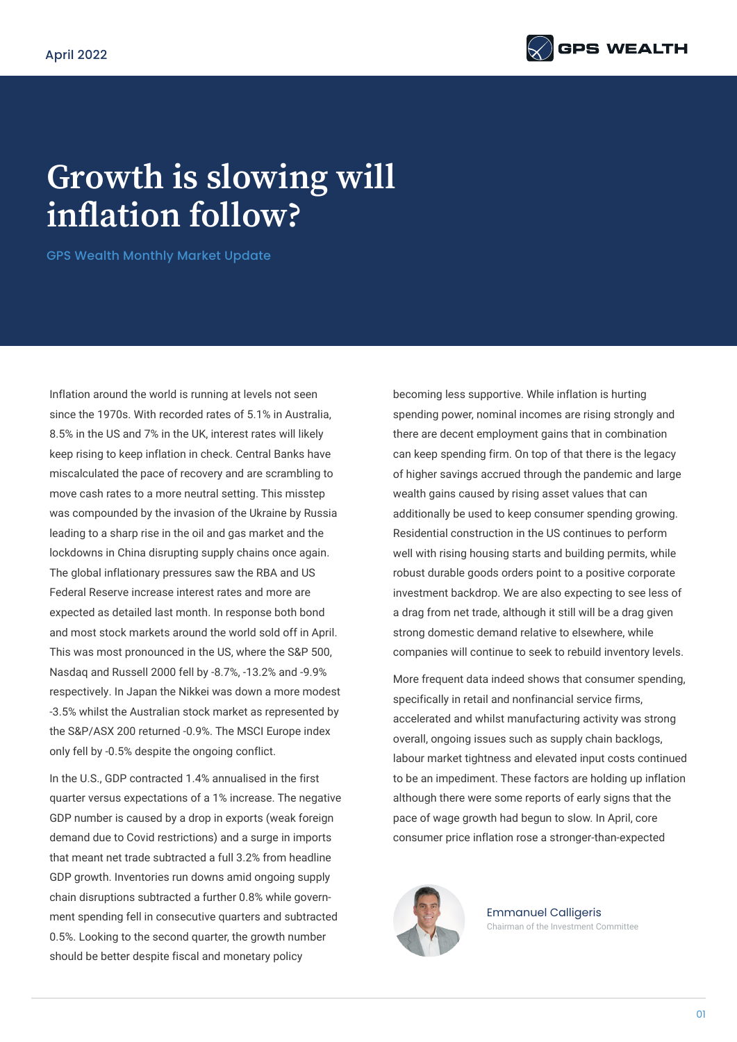

## **Growth is slowing will inflation follow?**

GPS Wealth Monthly Market Update

Inflation around the world is running at levels not seen since the 1970s. With recorded rates of 5.1% in Australia, 8.5% in the US and 7% in the UK, interest rates will likely keep rising to keep inflation in check. Central Banks have miscalculated the pace of recovery and are scrambling to move cash rates to a more neutral setting. This misstep was compounded by the invasion of the Ukraine by Russia leading to a sharp rise in the oil and gas market and the lockdowns in China disrupting supply chains once again. The global inflationary pressures saw the RBA and US Federal Reserve increase interest rates and more are expected as detailed last month. In response both bond and most stock markets around the world sold off in April. This was most pronounced in the US, where the S&P 500, Nasdaq and Russell 2000 fell by -8.7%, -13.2% and -9.9% respectively. In Japan the Nikkei was down a more modest -3.5% whilst the Australian stock market as represented by the S&P/ASX 200 returned -0.9%. The MSCI Europe index only fell by -0.5% despite the ongoing conflict.

In the U.S., GDP contracted 1.4% annualised in the first quarter versus expectations of a 1% increase. The negative GDP number is caused by a drop in exports (weak foreign demand due to Covid restrictions) and a surge in imports that meant net trade subtracted a full 3.2% from headline GDP growth. Inventories run downs amid ongoing supply chain disruptions subtracted a further 0.8% while government spending fell in consecutive quarters and subtracted 0.5%. Looking to the second quarter, the growth number should be better despite fiscal and monetary policy

becoming less supportive. While inflation is hurting spending power, nominal incomes are rising strongly and there are decent employment gains that in combination can keep spending firm. On top of that there is the legacy of higher savings accrued through the pandemic and large wealth gains caused by rising asset values that can additionally be used to keep consumer spending growing. Residential construction in the US continues to perform well with rising housing starts and building permits, while robust durable goods orders point to a positive corporate investment backdrop. We are also expecting to see less of a drag from net trade, although it still will be a drag given strong domestic demand relative to elsewhere, while companies will continue to seek to rebuild inventory levels.

More frequent data indeed shows that consumer spending, specifically in retail and nonfinancial service firms, accelerated and whilst manufacturing activity was strong overall, ongoing issues such as supply chain backlogs, labour market tightness and elevated input costs continued to be an impediment. These factors are holding up inflation although there were some reports of early signs that the pace of wage growth had begun to slow. In April, core consumer price inflation rose a stronger-than-expected



Emmanuel Calligeris Chairman of the Investment Committee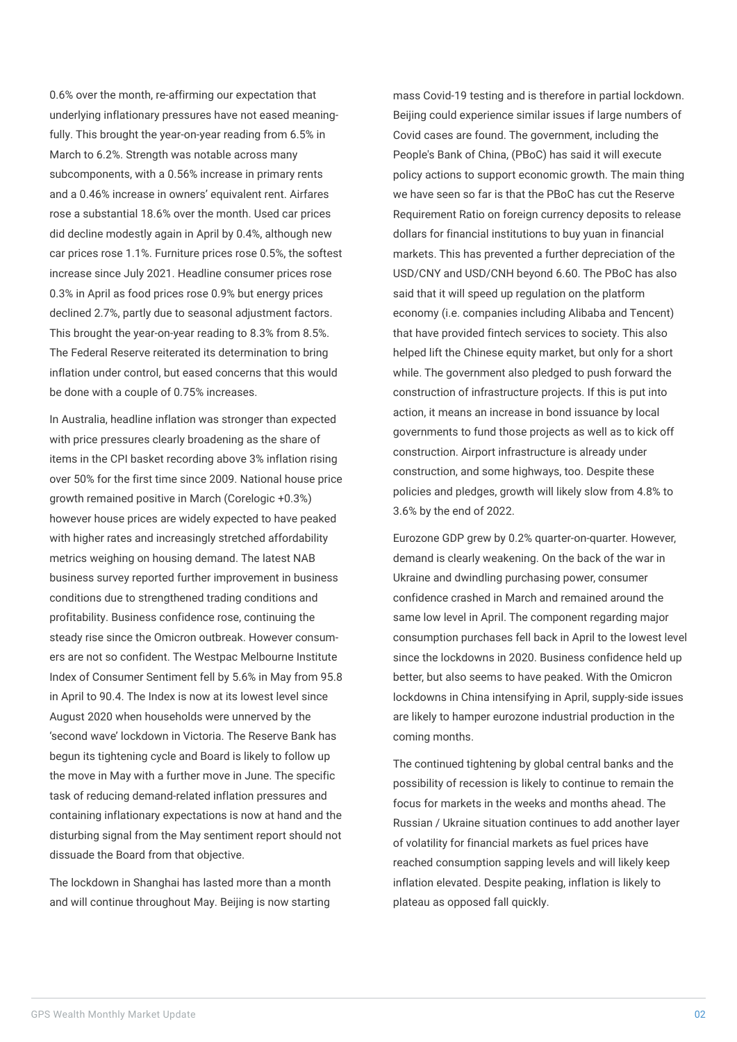0.6% over the month, re-affirming our expectation that underlying inflationary pressures have not eased meaningfully. This brought the year-on-year reading from 6.5% in March to 6.2%. Strength was notable across many subcomponents, with a 0.56% increase in primary rents and a 0.46% increase in owners' equivalent rent. Airfares rose a substantial 18.6% over the month. Used car prices did decline modestly again in April by 0.4%, although new car prices rose 1.1%. Furniture prices rose 0.5%, the softest increase since July 2021. Headline consumer prices rose 0.3% in April as food prices rose 0.9% but energy prices declined 2.7%, partly due to seasonal adjustment factors. This brought the year-on-year reading to 8.3% from 8.5%. The Federal Reserve reiterated its determination to bring inflation under control, but eased concerns that this would be done with a couple of 0.75% increases.

In Australia, headline inflation was stronger than expected with price pressures clearly broadening as the share of items in the CPI basket recording above 3% inflation rising over 50% for the first time since 2009. National house price growth remained positive in March (Corelogic +0.3%) however house prices are widely expected to have peaked with higher rates and increasingly stretched affordability metrics weighing on housing demand. The latest NAB business survey reported further improvement in business conditions due to strengthened trading conditions and profitability. Business confidence rose, continuing the steady rise since the Omicron outbreak. However consumers are not so confident. The Westpac Melbourne Institute Index of Consumer Sentiment fell by 5.6% in May from 95.8 in April to 90.4. The Index is now at its lowest level since August 2020 when households were unnerved by the 'second wave' lockdown in Victoria. The Reserve Bank has begun its tightening cycle and Board is likely to follow up the move in May with a further move in June. The specific task of reducing demand-related inflation pressures and containing inflationary expectations is now at hand and the disturbing signal from the May sentiment report should not dissuade the Board from that objective.

The lockdown in Shanghai has lasted more than a month and will continue throughout May. Beijing is now starting

mass Covid-19 testing and is therefore in partial lockdown. Beijing could experience similar issues if large numbers of Covid cases are found. The government, including the People's Bank of China, (PBoC) has said it will execute policy actions to support economic growth. The main thing we have seen so far is that the PBoC has cut the Reserve Requirement Ratio on foreign currency deposits to release dollars for financial institutions to buy yuan in financial markets. This has prevented a further depreciation of the USD/CNY and USD/CNH beyond 6.60. The PBoC has also said that it will speed up regulation on the platform economy (i.e. companies including Alibaba and Tencent) that have provided fintech services to society. This also helped lift the Chinese equity market, but only for a short while. The government also pledged to push forward the construction of infrastructure projects. If this is put into action, it means an increase in bond issuance by local governments to fund those projects as well as to kick off construction. Airport infrastructure is already under construction, and some highways, too. Despite these policies and pledges, growth will likely slow from 4.8% to 3.6% by the end of 2022.

Eurozone GDP grew by 0.2% quarter-on-quarter. However, demand is clearly weakening. On the back of the war in Ukraine and dwindling purchasing power, consumer confidence crashed in March and remained around the same low level in April. The component regarding major consumption purchases fell back in April to the lowest level since the lockdowns in 2020. Business confidence held up better, but also seems to have peaked. With the Omicron lockdowns in China intensifying in April, supply-side issues are likely to hamper eurozone industrial production in the coming months.

The continued tightening by global central banks and the possibility of recession is likely to continue to remain the focus for markets in the weeks and months ahead. The Russian / Ukraine situation continues to add another layer of volatility for financial markets as fuel prices have reached consumption sapping levels and will likely keep inflation elevated. Despite peaking, inflation is likely to plateau as opposed fall quickly.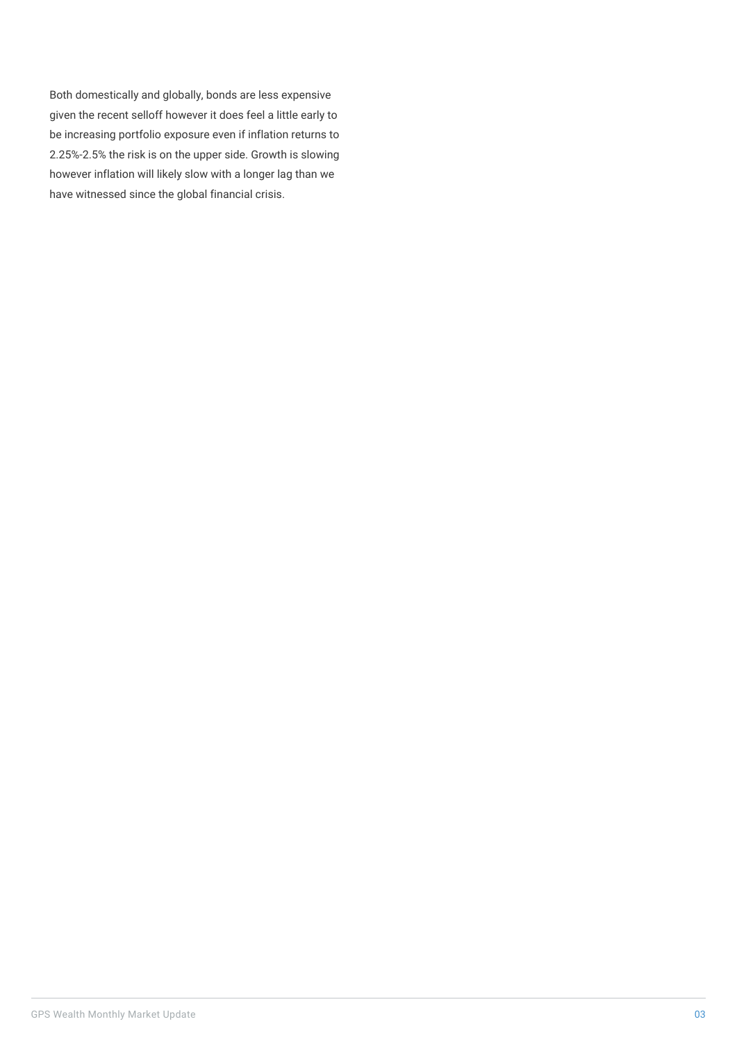Both domestically and globally, bonds are less expensive given the recent selloff however it does feel a little early to be increasing portfolio exposure even if inflation returns to 2.25%-2.5% the risk is on the upper side. Growth is slowing however inflation will likely slow with a longer lag than we have witnessed since the global financial crisis.